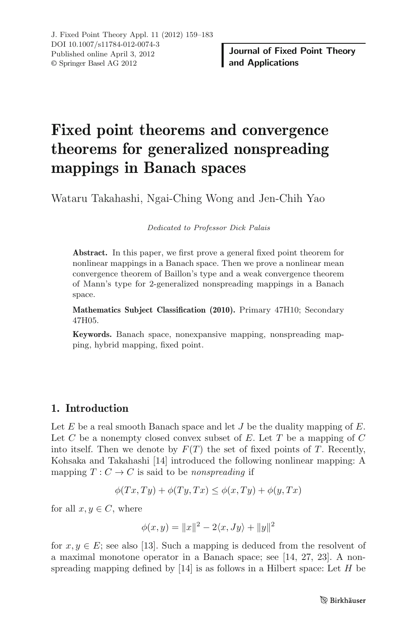# **Fixed point theorems and convergence theorems for generalized nonspreading mappings in Banach spaces**

Wataru Takahashi, Ngai-Ching Wong and Jen-Chih Yao

Dedicated to Professor Dick Palais

**Abstract.** In this paper, we first prove a general fixed point theorem for nonlinear mappings in a Banach space. Then we prove a nonlinear mean convergence theorem of Baillon's type and a weak convergence theorem of Mann's type for 2-generalized nonspreading mappings in a Banach space.

**Mathematics Subject Classification (2010).** Primary 47H10; Secondary 47H05.

**Keywords.** Banach space, nonexpansive mapping, nonspreading mapping, hybrid mapping, fixed point.

## **1. Introduction**

Let  $E$  be a real smooth Banach space and let  $J$  be the duality mapping of  $E$ . Let  $C$  be a nonempty closed convex subset of  $E$ . Let  $T$  be a mapping of  $C$ into itself. Then we denote by  $F(T)$  the set of fixed points of T. Recently, Kohsaka and Takahashi [14] introduced the following nonlinear mapping: A mapping  $T: C \to C$  is said to be nonspreading if

$$
\phi(Tx, Ty) + \phi(Ty, Tx) \le \phi(x, Ty) + \phi(y, Tx)
$$

for all  $x, y \in C$ , where

$$
\phi(x, y) = ||x||^2 - 2\langle x, Jy \rangle + ||y||^2
$$

for  $x, y \in E$ ; see also [13]. Such a mapping is deduced from the resolvent of a maximal monotone operator in a Banach space; see [14, 27, 23]. A nonspreading mapping defined by  $[14]$  is as follows in a Hilbert space: Let  $H$  be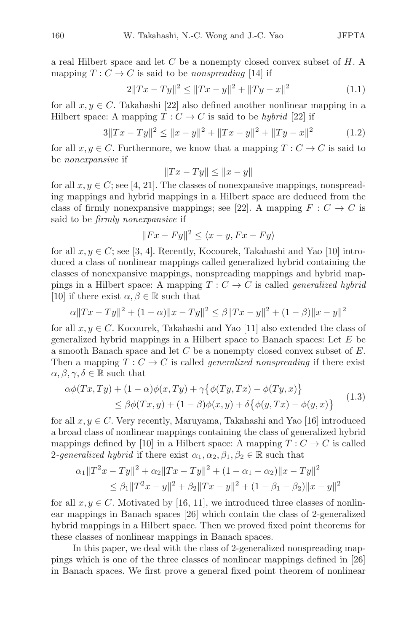a real Hilbert space and let  $C$  be a nonempty closed convex subset of  $H$ . A mapping  $T: C \to C$  is said to be nonspreading [14] if

$$
2||Tx - Ty||^2 \le ||Tx - y||^2 + ||Ty - x||^2 \tag{1.1}
$$

for all  $x, y \in C$ . Takahashi [22] also defined another nonlinear mapping in a Hilbert space: A mapping  $T: C \to C$  is said to be hybrid [22] if

$$
3||Tx - Ty||^2 \le ||x - y||^2 + ||Tx - y||^2 + ||Ty - x||^2 \tag{1.2}
$$

for all  $x, y \in C$ . Furthermore, we know that a mapping  $T : C \to C$  is said to be *nonerpansive* if be nonexpansive if

$$
||Tx - Ty|| \le ||x - y||
$$

for all  $x, y \in C$ ; see [4, 21]. The classes of nonexpansive mappings, nonspread-<br>ing mappings and hybrid mappings in a Hilbert space are deduced from the ing mappings and hybrid mappings in a Hilbert space are deduced from the class of firmly nonexpansive mappings; see [22]. A mapping  $F: C \to C$  is said to be firmly nonexpansive if

$$
||Fx - Fy||^2 \le \langle x - y, Fx - Fy \rangle
$$

for all  $x, y \in C$ ; see [3, 4]. Recently, Kocourek, Takahashi and Yao [10] intro-<br>duced a class of nonlinear mannings called generalized hybrid containing the duced a class of nonlinear mappings called generalized hybrid containing the classes of nonexpansive mappings, nonspreading mappings and hybrid mappings in a Hilbert space: A mapping  $T: C \to C$  is called *generalized hybrid* [10] if there exist  $\alpha, \beta \in \mathbb{R}$  such that

$$
\alpha ||Tx - Ty||2 + (1 - \alpha) ||x - Ty||2 \le \beta ||Tx - y||2 + (1 - \beta) ||x - y||2
$$

for all  $x, y \in C$ . Kocourek, Takahashi and Yao [11] also extended the class of generalized hybrid mappings in a Hilbert space to Banach spaces: Let  $E$  be a smooth Banach space and let  $C$  be a nonempty closed convex subset of  $E$ . Then a mapping  $T: C \to C$  is called *generalized nonspreading* if there exist  $\alpha, \beta, \gamma, \delta \in \mathbb{R}$  such that<br> $\alpha \phi(Tx, Tu) + (1 - \epsilon)$ 

$$
\alpha\phi(Tx,Ty) + (1-\alpha)\phi(x,Ty) + \gamma\{\phi(Ty,Tx) - \phi(Ty,x)\}\
$$
  
\n
$$
\leq \beta\phi(Tx,y) + (1-\beta)\phi(x,y) + \delta\{\phi(y,Tx) - \phi(y,x)\}\
$$
\n(1.3)

for all  $x, y \in C$ . Very recently, Maruyama, Takahashi and Yao [16] introduced a broad class of nonlinear mappings containing the class of generalized hybrid mappings defined by [10] in a Hilbert space: A mapping  $T: C \to C$  is called 2-generalized hybrid if there exist  $\alpha_1, \alpha_2, \beta_1, \beta_2 \in \mathbb{R}$  such that

$$
\alpha_1 \|T^2x - Ty\|^2 + \alpha_2 \|Tx - Ty\|^2 + (1 - \alpha_1 - \alpha_2) \|x - Ty\|^2
$$
  
\n
$$
\leq \beta_1 \|T^2x - y\|^2 + \beta_2 \|Tx - y\|^2 + (1 - \beta_1 - \beta_2) \|x - y\|^2
$$

for all  $x, y \in C$ . Motivated by [16, 11], we introduced three classes of nonlinear mappings in Banach spaces [26] which contain the class of 2-generalized hybrid mappings in a Hilbert space. Then we proved fixed point theorems for these classes of nonlinear mappings in Banach spaces.

In this paper, we deal with the class of 2-generalized nonspreading mappings which is one of the three classes of nonlinear mappings defined in [26] in Banach spaces. We first prove a general fixed point theorem of nonlinear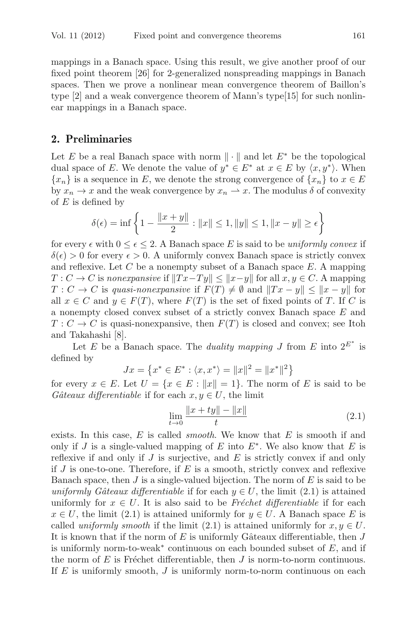mappings in a Banach space. Using this result, we give another proof of our fixed point theorem [26] for 2-generalized nonspreading mappings in Banach spaces. Then we prove a nonlinear mean convergence theorem of Baillon's type [2] and a weak convergence theorem of Mann's type[15] for such nonlinear mappings in a Banach space.

### **2. Preliminaries**

Let E be a real Banach space with norm  $\|\cdot\|$  and let  $E^*$  be the topological dual space of E. We denote the value of  $y^* \in E^*$  at  $x \in E$  by  $\langle x, y^* \rangle$ . When  ${x_n}$  is a sequence in E, we denote the strong convergence of  ${x_n}$  to  $x \in E$ by  $x_n \to x$  and the weak convergence by  $x_n \to x$ . The modulus  $\delta$  of convexity of  $E$  is defined by

$$
\delta(\epsilon) = \inf \left\{ 1 - \frac{\|x + y\|}{2} : \|x\| \le 1, \|y\| \le 1, \|x - y\| \ge \epsilon \right\}
$$

for every  $\epsilon$  with  $0 \leq \epsilon \leq 2$ . A Banach space E is said to be uniformly convex if  $\delta(\epsilon) > 0$  for every  $\epsilon > 0$ . A uniformly convex Banach space is strictly convex and reflexive. Let  $C$  be a nonempty subset of a Banach space  $E$ . A mapping  $T: C \to C$  is nonexpansive if  $||Tx-Ty|| \le ||x-y||$  for all  $x, y \in C$ . A mapping  $T: C \to C$  is quasi-nonexpansive if  $F(T) \neq \emptyset$  and  $||Tx - y|| \leq ||x - y||$  for all  $x \in C$  and  $y \in F(T)$ , where  $F(T)$  is the set of fixed points of T. If C is a nonempty closed convex subset of a strictly convex Banach space E and  $T: C \to C$  is quasi-nonexpansive, then  $F(T)$  is closed and convex; see Itoh and Takahashi [8].

Let E be a Banach space. The *duality mapping* J from E into  $2^{E^*}$  is defined by

$$
Jx = \{x^* \in E^* : \langle x, x^* \rangle = ||x||^2 = ||x^*||^2\}
$$

for every  $x \in E$ . Let  $U = \{x \in E : ||x|| = 1\}$ . The norm of E is said to be *Gâteaux differentiable* if for each  $x, y \in U$  the limit Gâteaux differentiable if for each  $x, y \in U$ , the limit

$$
\lim_{t \to 0} \frac{\|x + ty\| - \|x\|}{t}
$$
\n(2.1)

exists. In this case, E is called *smooth*. We know that E is smooth if and only if I is a single-valued manning of E into  $F^*$ . We also know that E is only if J is a single-valued mapping of E into  $E^*$ . We also know that E is reflexive if and only if  $J$  is surjective, and  $E$  is strictly convex if and only if  $J$  is one-to-one. Therefore, if  $E$  is a smooth, strictly convex and reflexive Banach space, then  $J$  is a single-valued bijection. The norm of  $E$  is said to be uniformly Gâteaux differentiable if for each  $y \in U$ , the limit (2.1) is attained uniformly for  $x \in U$ . It is also said to be Fréchet differentiable if for each  $x \in U$ , the limit (2.1) is attained uniformly for  $y \in U$ . A Banach space E is called uniformly smooth if the limit (2.1) is attained uniformly for  $x, y \in U$ . It is known that if the norm of  $E$  is uniformly Gâteaux differentiable, then  $J$ is uniformly norm-to-weak<sup>\*</sup> continuous on each bounded subset of  $E$ , and if the norm of  $E$  is Fréchet differentiable, then  $J$  is norm-to-norm continuous. If  $E$  is uniformly smooth,  $J$  is uniformly norm-to-norm continuous on each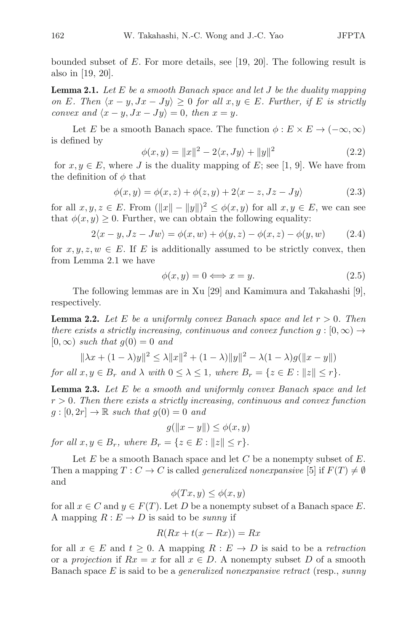bounded subset of  $E$ . For more details, see [19, 20]. The following result is also in [19, 20].

**Lemma 2.1.** Let E be a smooth Banach space and let J be the duality mapping on E. Then  $\langle x - y, Jx - Jy \rangle \geq 0$  for all  $x, y \in E$ . Further, if E is strictly convex and  $\langle x-y, Jx-Jy \rangle = 0$ , then  $x=y$ .

Let E be a smooth Banach space. The function  $\phi : E \times E \to (-\infty, \infty)$ is defined by

$$
\phi(x, y) = ||x||^2 - 2\langle x, Jy \rangle + ||y||^2 \tag{2.2}
$$
\n(i) is the duality mapping of  $F_1$  and  $W_2$  has the form

for  $x, y \in E$ , where J is the duality mapping of E; see [1, 9]. We have from he definition of  $\phi$  that the definition of  $\phi$  that

$$
\phi(x, y) = \phi(x, z) + \phi(z, y) + 2\langle x - z, Jz - Jy \rangle \tag{2.3}
$$

for all  $x, y, z \in E$ . From  $(\|x\| - \|y\|)^2 \le \phi(x, y)$  for all  $x, y \in E$ , we can see<br>that  $\phi(x, y) > 0$ . Further, we can obtain the following equality: that  $\phi(x, y) \geq 0$ . Further, we can obtain the following equality:

$$
2\langle x-y, Jz - Jw \rangle = \phi(x, w) + \phi(y, z) - \phi(x, z) - \phi(y, w)
$$
 (2.4)

for  $x, y, z, w \in E$ . If E is additionally assumed to be strictly convex, then from Lemma 2.1 we have from Lemma 2.1 we have

$$
\phi(x, y) = 0 \Longleftrightarrow x = y. \tag{2.5}
$$

The following lemmas are in Xu [29] and Kamimura and Takahashi [9], respectively.

**Lemma 2.2.** Let E be a uniformly convex Banach space and let  $r > 0$ . Then there exists a strictly increasing, continuous and convex function  $q : [0, \infty) \rightarrow$  $[0,\infty)$  such that  $g(0) = 0$  and

$$
\|\lambda x + (1 - \lambda)y\|^2 \le \lambda \|x\|^2 + (1 - \lambda)\|y\|^2 - \lambda(1 - \lambda)g(\|x - y\|)
$$
  
for all  $x, y \in B_r$  and  $\lambda$  with  $0 \le \lambda \le 1$ , where  $B_r = \{z \in E : \|z\| \le r\}.$ 

**Lemma 2.3.** Let E be a smooth and uniformly convex Banach space and let  $r > 0$ . Then there exists a strictly increasing, continuous and convex function  $g:[0,2r] \to \mathbb{R}$  such that  $g(0) = 0$  and

$$
g(||x - y||) \le \phi(x, y)
$$

for all  $x, y \in B_r$ , where  $B_r = \{z \in E : ||z|| \leq r\}.$ 

Let  $E$  be a smooth Banach space and let  $C$  be a nonempty subset of  $E$ . Then a mapping  $T: C \to C$  is called *generalized nonexpansive* [5] if  $F(T) \neq \emptyset$ and

$$
\phi(Tx, y) \le \phi(x, y)
$$

for all  $x \in C$  and  $y \in F(T)$ . Let D be a nonempty subset of a Banach space E.<br>A mapping  $R : F \to D$  is said to be *suppu* if A mapping  $R: E \to D$  is said to be sunny if

$$
R(Rx + t(x - Rx)) = Rx
$$

for all  $x \in E$  and  $t \geq 0$ . A mapping  $R : E \to D$  is said to be a *retraction* or a projection if  $Rx = x$  for all  $x \in D$ . A nonempty subset D of a smooth Banach space  $E$  is said to be a *generalized nonexpansive retract* (resp., sunny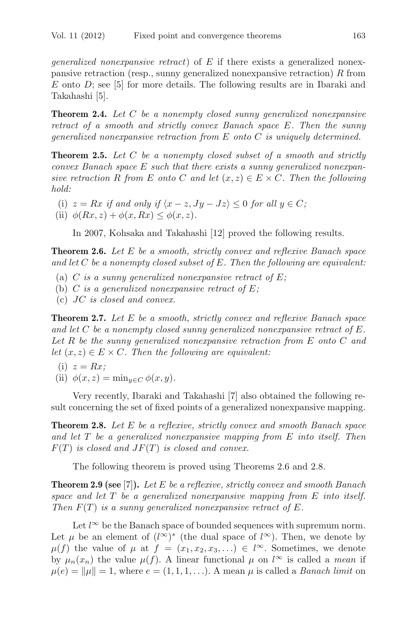*generalized nonexpansive retract*) of  $E$  if there exists a generalized nonexpansive retraction (resp., sunny generalized nonexpansive retraction) R from  $E$  onto  $D$ ; see [5] for more details. The following results are in Ibaraki and Takahashi [5].

**Theorem 2.4.** Let C be a nonempty closed sunny generalized nonexpansive retract of a smooth and strictly convex Banach space E. Then the sunny generalized nonexpansive retraction from E onto C is uniquely determined.

**Theorem 2.5.** Let C be a nonempty closed subset of a smooth and strictly convex Banach space E such that there exists a sunny generalized nonexpansive retraction R from E onto C and let  $(x, z) \in E \times C$ . Then the following hold:

- (i)  $z = Rx$  if and only if  $\langle x z, Jy Jz \rangle \leq 0$  for all  $y \in C$ ;
- (ii)  $\phi(Rx, z) + \phi(x, Rx) \leq \phi(x, z)$ .

In 2007, Kohsaka and Takahashi [12] proved the following results.

**Theorem 2.6.** Let E be a smooth, strictly convex and reflexive Banach space and let  $C$  be a nonempty closed subset of  $E$ . Then the following are equivalent:

- (a) C is a sunny generalized nonexpansive retract of  $E$ ;
- (b) C is a generalized nonexpansive retract of  $E$ ;
- (c) JC is closed and convex.

**Theorem 2.7.** Let E be a smooth, strictly convex and reflexive Banach space and let  $C$  be a nonempty closed sunny generalized nonexpansive retract of  $E$ . Let  $R$  be the sunny generalized nonexpansive retraction from  $E$  onto  $C$  and let  $(x, z) \in E \times C$ . Then the following are equivalent:

(i) 
$$
z = Rx;
$$
  
(ii)  $\phi(x, z) =$ 

(ii)  $\phi(x, z) = \min_{y \in C} \phi(x, y)$ .

Very recently, Ibaraki and Takahashi [7] also obtained the following result concerning the set of fixed points of a generalized nonexpansive mapping.

**Theorem 2.8.** Let E be a reflexive, strictly convex and smooth Banach space and let T be a generalized nonexpansive mapping from E into itself. Then  $F(T)$  is closed and  $JF(T)$  is closed and convex.

The following theorem is proved using Theorems 2.6 and 2.8.

**Theorem 2.9 (see** [7]**).** Let E be a reflexive, strictly convex and smooth Banach space and let  $T$  be a generalized nonexpansive mapping from  $E$  into itself. Then  $F(T)$  is a sunny generalized nonexpansive retract of E.

Let  $l^{\infty}$  be the Banach space of bounded sequences with supremum norm.<br>  $\mu$  be an element of  $(l^{\infty})^*$  (the dual space of  $l^{\infty}$ ). Then, we denote by Let  $\mu$  be an element of  $(l^{\infty})^*$  (the dual space of  $l^{\infty}$ ). Then, we denote by  $u(f)$  the value of  $u$  at  $f = (x, x_0, x_0) \in l^{\infty}$ . Sometimes we denote  $\mu(f)$  the value of  $\mu$  at  $f = (x_1, x_2, x_3,...) \in l^{\infty}$ . Sometimes, we denote by  $\mu_n(x_n)$  the value  $\mu(f)$ . A linear functional  $\mu$  on  $l^{\infty}$  is called a *mean* if  $\mu(e) = ||\mu|| = 1$  where  $e = (1, 1, 1)$ . A mean  $\mu$  is called a *Banach limit* on  $\mu(e) = ||\mu|| = 1$ , where  $e = (1, 1, 1, \ldots)$ . A mean  $\mu$  is called a *Banach limit* on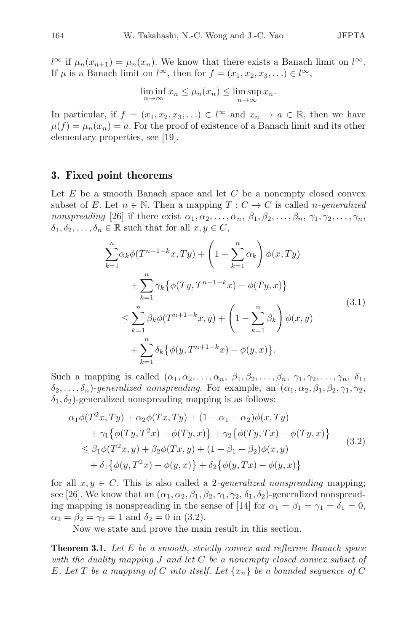If  $\mu$  is a Banach limit on  $l^{\infty}$ , then for  $f = (x_1, x_2, x_3, ...) \in l^{\infty}$ ,  $\infty$  if  $\mu_n(x_{n+1}) = \mu_n(x_n)$ . We know that there exists a Banach limit on  $l^{\infty}$ .<br>  $f \mu$  is a Banach limit on  $l^{\infty}$  then for  $f = (x_1, x_2, x_3) \in l^{\infty}$ 

$$
\liminf_{n \to \infty} x_n \le \mu_n(x_n) \le \limsup_{n \to \infty} x_n.
$$

In particular, if  $f = (x_1, x_2, x_3, ...) \in l^{\infty}$  and  $x_n \to a \in \mathbb{R}$ , then we have  $u(f) = u(x) = a$ . For the proof of existence of a Banach limit and its other  $\mu(f) = \mu_n(x_n) = a$ . For the proof of existence of a Banach limit and its other elementary properties, see [19].

#### **3. Fixed point theorems**

Let  $E$  be a smooth Banach space and let  $C$  be a nonempty closed convex subset of E. Let  $n \in \mathbb{N}$ . Then a mapping  $T: C \to C$  is called *n*-generalized nonspreading [26] if there exist  $\alpha_1, \alpha_2, \ldots, \alpha_n, \beta_1, \beta_2, \ldots, \beta_n, \gamma_1, \gamma_2, \ldots, \gamma_n$ ,  $\delta_1, \delta_2, \ldots, \delta_n \in \mathbb{R}$  such that for all  $x, y \in C$ ,

$$
\sum_{k=1}^{n} \alpha_k \phi(T^{n+1-k}x, Ty) + \left(1 - \sum_{k=1}^{n} \alpha_k\right) \phi(x, Ty) \n+ \sum_{k=1}^{n} \gamma_k \{ \phi(Ty, T^{n+1-k}x) - \phi(Ty, x) \} \n\leq \sum_{k=1}^{n} \beta_k \phi(T^{n+1-k}x, y) + \left(1 - \sum_{k=1}^{n} \beta_k\right) \phi(x, y) \n+ \sum_{k=1}^{n} \delta_k \{ \phi(y, T^{n+1-k}x) - \phi(y, x) \}.
$$
\n(3.1)

Such a mapping is called  $(\alpha_1, \alpha_2, \ldots, \alpha_n, \beta_1, \beta_2, \ldots, \beta_n, \gamma_1, \gamma_2, \ldots, \gamma_n, \delta_1,$  $\delta_2,\ldots,\delta_n$ )-generalized nonspreading. For example, an  $(\alpha_1,\alpha_2,\beta_1,\beta_2,\gamma_1,\gamma_2,\gamma_2)$  $\delta_1, \delta_2$ )-generalized nonspreading mapping is as follows:

$$
\alpha_1 \phi(T^2 x, Ty) + \alpha_2 \phi(T x, Ty) + (1 - \alpha_1 - \alpha_2) \phi(x, Ty) \n+ \gamma_1 \{\phi(T y, T^2 x) - \phi(T y, x)\} + \gamma_2 \{\phi(T y, Tx) - \phi(T y, x)\} \n\leq \beta_1 \phi(T^2 x, y) + \beta_2 \phi(T x, y) + (1 - \beta_1 - \beta_2) \phi(x, y) \n+ \delta_1 \{\phi(y, T^2 x) - \phi(y, x)\} + \delta_2 \{\phi(y, Tx) - \phi(y, x)\}
$$
\n(3.2)

for all  $x, y \in C$ . This is also called a 2-*qeneralized nonspreading* mapping; see [26]. We know that an  $(\alpha_1, \alpha_2, \beta_1, \beta_2, \gamma_1, \gamma_2, \delta_1, \delta_2)$ -generalized nonspreading mapping is nonspreading in the sense of [14] for  $\alpha_1 = \beta_1 = \gamma_1 = \delta_1 = 0$ ,  $\alpha_2 = \beta_2 = \gamma_2 = 1$  and  $\delta_2 = 0$  in (3.2).

Now we state and prove the main result in this section.

**Theorem 3.1.** Let E be a smooth, strictly convex and reflexive Banach space with the duality mapping  $J$  and let  $C$  be a nonempty closed convex subset of E. Let T be a mapping of C into itself. Let  $\{x_n\}$  be a bounded sequence of C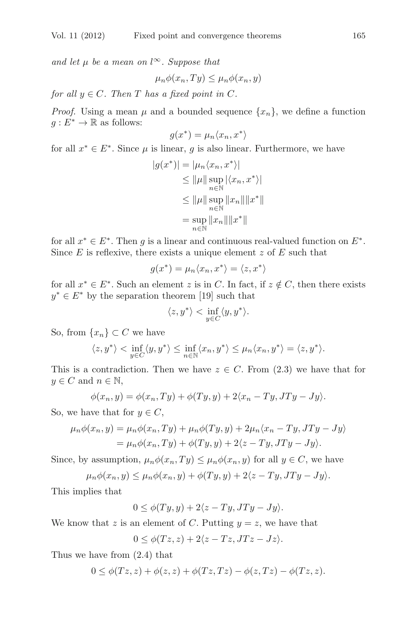and let  $\mu$  be a mean on l<sup>∞</sup>. Suppose that

$$
\mu_n \phi(x_n, Ty) \le \mu_n \phi(x_n, y)
$$

for all  $y \in C$ . Then T has a fixed point in C.

*Proof.* Using a mean  $\mu$  and a bounded sequence  $\{x_n\}$ , we define a function  $g: E^* \to \mathbb{R}$  as follows:

$$
g(x^*) = \mu_n \langle x_n, x^* \rangle
$$

for all  $x^* \in E^*$ . Since  $\mu$  is linear, g is also linear. Furthermore, we have

$$
|g(x^*)| = |\mu_n \langle x_n, x^* \rangle|
$$
  
\n
$$
\leq ||\mu|| \sup_{n \in \mathbb{N}} |\langle x_n, x^* \rangle|
$$
  
\n
$$
\leq ||\mu|| \sup_{n \in \mathbb{N}} ||x_n|| ||x^*||
$$
  
\n
$$
= \sup_{n \in \mathbb{N}} ||x_n|| ||x^*||
$$

for all  $x^* \in E^*$ . Then q is a linear and continuous real-valued function on  $E^*$ . Since  $E$  is reflexive, there exists a unique element  $z$  of  $E$  such that

$$
g(x^*) = \mu_n \langle x_n, x^* \rangle = \langle z, x^* \rangle
$$

for all  $x^* \in E^*$ . Such an element z is in C. In fact, if  $z \notin C$ , then there exists  $u^* \in E^*$  by the separation theorem [19] such that  $y^* \in E^*$  by the separation theorem [19] such that

$$
\langle z, y^* \rangle < \inf_{y \in C} \langle y, y^* \rangle.
$$

So, from  $\{x_n\} \subset C$  we have

$$
\langle z, y^* \rangle < \inf_{y \in C} \langle y, y^* \rangle \le \inf_{n \in \mathbb{N}} \langle x_n, y^* \rangle \le \mu_n \langle x_n, y^* \rangle = \langle z, y^* \rangle.
$$

This is a contradiction. Then we have  $z \in C$ . From (2.3) we have that for  $y \in C$  and  $n \in \mathbb{N}$ ,

$$
\phi(x_n, y) = \phi(x_n, Ty) + \phi(Ty, y) + 2\langle x_n - Ty, JTy - Jy \rangle.
$$

So, we have that for  $y \in C$ ,

$$
\mu_n \phi(x_n, y) = \mu_n \phi(x_n, Ty) + \mu_n \phi(Ty, y) + 2\mu_n \langle x_n - Ty, JTy - Jy \rangle
$$
  
= 
$$
\mu_n \phi(x_n, Ty) + \phi(Ty, y) + 2\langle z - Ty, JTy - Jy \rangle.
$$

Since, by assumption,  $\mu_n \phi(x_n,Ty) \leq \mu_n \phi(x_n,y)$  for all  $y \in C$ , we have

$$
\mu_n \phi(x_n, y) \le \mu_n \phi(x_n, y) + \phi(Ty, y) + 2\langle z - Ty, JTy - Jy \rangle.
$$

This implies that

$$
0 \le \phi(Ty, y) + 2\langle z - Ty, JTy - Jy \rangle.
$$

We know that z is an element of C. Putting  $y = z$ , we have that

$$
0 \le \phi(Tz, z) + 2\langle z - Tz, JTz - Jz \rangle.
$$

Thus we have from (2.4) that

$$
0 \leq \phi(Tz, z) + \phi(z, z) + \phi(Tz, Tz) - \phi(z, Tz) - \phi(Tz, z).
$$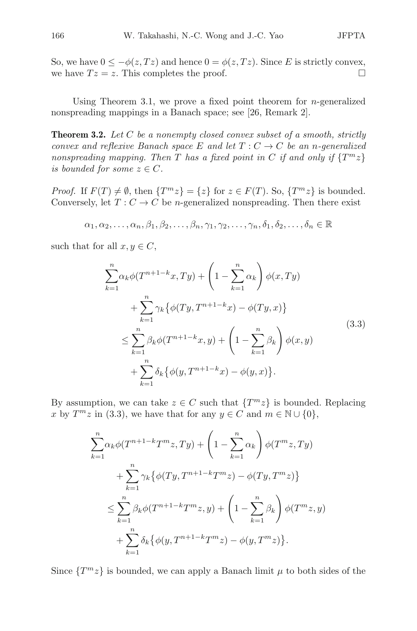So, we have  $0 \le -\phi(z, Tz)$  and hence  $0 = \phi(z, Tz)$ . Since E is strictly convex, we have  $Tz = z$ . This completes the proof. we have  $Tz = z$ . This completes the proof.

Using Theorem 3.1, we prove a fixed point theorem for *n*-generalized nonspreading mappings in a Banach space; see [26, Remark 2].

**Theorem 3.2.** Let C be a nonempty closed convex subset of a smooth, strictly convex and reflexive Banach space E and let  $T: C \to C$  be an n-generalized nonspreading mapping. Then T has a fixed point in C if and only if  $\{T^m z\}$ is bounded for some  $z \in C$ .

*Proof.* If  $F(T) \neq \emptyset$ , then  $\{T^m z\} = \{z\}$  for  $z \in F(T)$ . So,  $\{T^m z\}$  is bounded. Conversely, let  $T: C \to C$  be *n*-generalized nonspreading. Then there exist

$$
\alpha_1, \alpha_2, \ldots, \alpha_n, \beta_1, \beta_2, \ldots, \beta_n, \gamma_1, \gamma_2, \ldots, \gamma_n, \delta_1, \delta_2, \ldots, \delta_n \in \mathbb{R}
$$

such that for all  $x, y \in C$ ,

$$
\sum_{k=1}^{n} \alpha_k \phi(T^{n+1-k}x, Ty) + \left(1 - \sum_{k=1}^{n} \alpha_k\right) \phi(x, Ty) \n+ \sum_{k=1}^{n} \gamma_k \{\phi(Ty, T^{n+1-k}x) - \phi(Ty, x)\} \n\leq \sum_{k=1}^{n} \beta_k \phi(T^{n+1-k}x, y) + \left(1 - \sum_{k=1}^{n} \beta_k\right) \phi(x, y) \n+ \sum_{k=1}^{n} \delta_k \{\phi(y, T^{n+1-k}x) - \phi(y, x)\}.
$$
\n(3.3)

By assumption, we can take  $z \in C$  such that  $\{T^{m}z\}$  is bounded. Replacing x by  $T^m z$  in (3.3), we have that for any  $y \in C$  and  $m \in \mathbb{N} \cup \{0\}$ ,

$$
\sum_{k=1}^{n} \alpha_k \phi(T^{n+1-k}T^{m}z, Ty) + \left(1 - \sum_{k=1}^{n} \alpha_k\right) \phi(T^{m}z, Ty) \n+ \sum_{k=1}^{n} \gamma_k \{ \phi(Ty, T^{n+1-k}T^{m}z) - \phi(Ty, T^{m}z) \} \n\leq \sum_{k=1}^{n} \beta_k \phi(T^{n+1-k}T^{m}z, y) + \left(1 - \sum_{k=1}^{n} \beta_k\right) \phi(T^{m}z, y) \n+ \sum_{k=1}^{n} \delta_k \{ \phi(y, T^{n+1-k}T^{m}z) - \phi(y, T^{m}z) \}.
$$

Since  $\{T^{m}z\}$  is bounded, we can apply a Banach limit  $\mu$  to both sides of the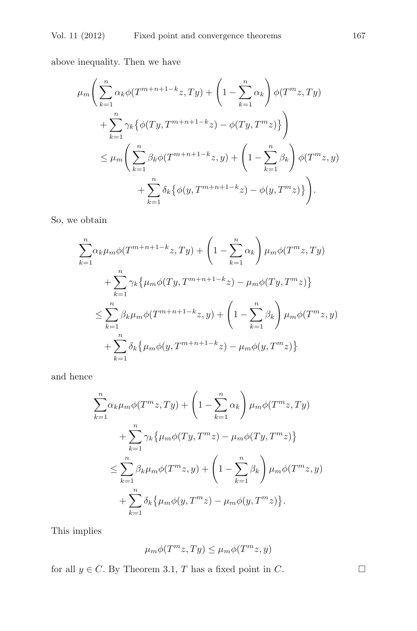above inequality. Then we have

$$
\mu_m \left( \sum_{k=1}^n \alpha_k \phi(T^{m+n+1-k} z, Ty) + \left( 1 - \sum_{k=1}^n \alpha_k \right) \phi(T^m z, Ty) + \sum_{k=1}^n \gamma_k \{ \phi(Ty, T^{m+n+1-k} z) - \phi(Ty, T^m z) \} \right) \n\leq \mu_m \left( \sum_{k=1}^n \beta_k \phi(T^{m+n+1-k} z, y) + \left( 1 - \sum_{k=1}^n \beta_k \right) \phi(T^m z, y) + \sum_{k=1}^n \delta_k \{ \phi(y, T^{m+n+1-k} z) - \phi(y, T^m z) \} \right).
$$

So, we obtain

$$
\sum_{k=1}^{n} \alpha_k \mu_m \phi(T^{m+n+1-k}z, Ty) + \left(1 - \sum_{k=1}^{n} \alpha_k\right) \mu_m \phi(T^{m}z, Ty) \n+ \sum_{k=1}^{n} \gamma_k \left\{\mu_m \phi(Ty, T^{m+n+1-k}z) - \mu_m \phi(Ty, T^{m}z)\right\} \n\leq \sum_{k=1}^{n} \beta_k \mu_m \phi(T^{m+n+1-k}z, y) + \left(1 - \sum_{k=1}^{n} \beta_k\right) \mu_m \phi(T^{m}z, y) \n+ \sum_{k=1}^{n} \delta_k \left\{\mu_m \phi(y, T^{m+n+1-k}z) - \mu_m \phi(y, T^{m}z)\right\}
$$

and hence

$$
\sum_{k=1}^{n} \alpha_k \mu_m \phi(T^m z, Ty) + \left(1 - \sum_{k=1}^{n} \alpha_k \right) \mu_m \phi(T^m z, Ty)
$$
  
+ 
$$
\sum_{k=1}^{n} \gamma_k \left\{ \mu_m \phi(Ty, T^m z) - \mu_m \phi(Ty, T^m z) \right\}
$$
  

$$
\leq \sum_{k=1}^{n} \beta_k \mu_m \phi(T^m z, y) + \left(1 - \sum_{k=1}^{n} \beta_k \right) \mu_m \phi(T^m z, y)
$$
  
+ 
$$
\sum_{k=1}^{n} \delta_k \left\{ \mu_m \phi(y, T^m z) - \mu_m \phi(y, T^m z) \right\}.
$$

This implies

$$
\mu_m \phi(T^m z, Ty) \le \mu_m \phi(T^m z, y)
$$

for all  $y \in C$ . By Theorem 3.1, T has a fixed point in C.  $\Box$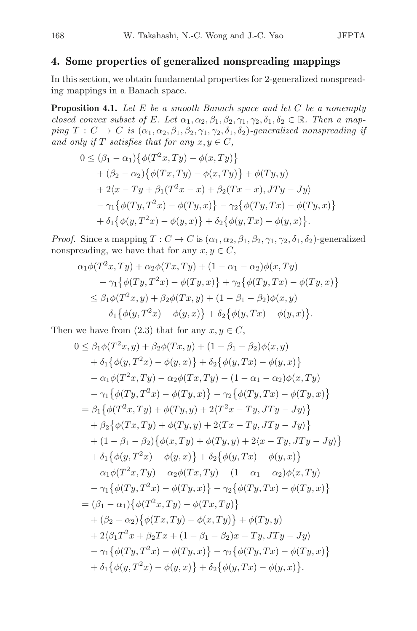# **4. Some properties of generalized nonspreading mappings**

In this section, we obtain fundamental properties for 2-generalized nonspreading mappings in a Banach space.

**Proposition 4.1.** Let E be a smooth Banach space and let C be a nonempty closed convex subset of E. Let  $\alpha_1, \alpha_2, \beta_1, \beta_2, \gamma_1, \gamma_2, \delta_1, \delta_2 \in \mathbb{R}$ . Then a mapping  $T: C \to C$  is  $(\alpha_1, \alpha_2, \beta_1, \beta_2, \gamma_1, \gamma_2, \delta_1, \delta_2)$ -generalized nonspreading if and only if T satisfies that for any  $x, y \in C$ ,

$$
0 \leq (\beta_1 - \alpha_1) \{ \phi(T^2x, Ty) - \phi(x, Ty) \} + (\beta_2 - \alpha_2) \{ \phi(Tx, Ty) - \phi(x, Ty) \} + \phi(Ty, y) + 2\langle x - Ty + \beta_1(T^2x - x) + \beta_2(Tx - x), JTy - Jy \rangle - \gamma_1 \{ \phi(Ty, T^2x) - \phi(Ty, x) \} - \gamma_2 \{ \phi(Ty, Tx) - \phi(Ty, x) \} + \delta_1 \{ \phi(y, T^2x) - \phi(y, x) \} + \delta_2 \{ \phi(y, Tx) - \phi(y, x) \}.
$$

*Proof.* Since a mapping  $T: C \to C$  is  $(\alpha_1, \alpha_2, \beta_1, \beta_2, \gamma_1, \gamma_2, \delta_1, \delta_2)$ -generalized nonspreading, we have that for any  $x, y \in C$ ,

$$
\alpha_1 \phi(T^2 x, Ty) + \alpha_2 \phi(T x, Ty) + (1 - \alpha_1 - \alpha_2) \phi(x, Ty) \n+ \gamma_1 \{\phi(T y, T^2 x) - \phi(T y, x)\} + \gamma_2 \{\phi(T y, Tx) - \phi(T y, x)\} \n\leq \beta_1 \phi(T^2 x, y) + \beta_2 \phi(T x, y) + (1 - \beta_1 - \beta_2) \phi(x, y) \n+ \delta_1 \{\phi(y, T^2 x) - \phi(y, x)\} + \delta_2 \{\phi(y, Tx) - \phi(y, x)\}.
$$

Then we have from (2.3) that for any  $x, y \in C$ ,<br>  $0 \leq \beta_1 \phi(T^2 x, y) + \beta_2 \phi(T x, y) + (1 - \beta_1 - \beta_2)$ 

$$
0 \leq \beta_1 \phi(T^2 x, y) + \beta_2 \phi(Tx, y) + (1 - \beta_1 - \beta_2) \phi(x, y) + \delta_1 \{ \phi(y, T^2 x) - \phi(y, x) \} + \delta_2 \{ \phi(y, Tx) - \phi(y, x) \} - \alpha_1 \phi(T^2 x, Ty) - \alpha_2 \phi(T x, Ty) - (1 - \alpha_1 - \alpha_2) \phi(x, Ty) - \gamma_1 \{ \phi(T y, T^2 x) - \phi(T y, x) \} - \gamma_2 \{ \phi(T y, Tx) - \phi(T y, x) \} = \beta_1 \{ \phi(T^2 x, Ty) + \phi(T y, y) + 2 \langle T^2 x - Ty, JTy - Jy \rangle \} + \beta_2 \{ \phi(T x, Ty) + \phi(T y, y) + 2 \langle Tx - Ty, JTy - Jy \rangle \} + (1 - \beta_1 - \beta_2) \{ \phi(x, Ty) + \phi(T y, y) + 2 \langle x - Ty, JTy - Jy \rangle \} - \alpha_1 \phi(T^2 x, Ty) - \alpha_2 \phi(T x, Ty) - (1 - \alpha_1 - \alpha_2) \phi(x, Ty) - \alpha_1 \phi(T^2 x, Ty) - \alpha_2 \phi(T x, Ty) - (1 - \alpha_1 - \alpha_2) \phi(x, Ty) - \gamma_1 \{ \phi(T y, T^2 x) - \phi(T y, x) \} - \gamma_2 \{ \phi(T y, Tx) - \phi(T y, x) \} = (\beta_1 - \alpha_1) \{ \phi(T^2 x, Ty) - \phi(T x, Ty) \} + (\beta_2 - \alpha_2) \{ \phi(T x, Ty) - \phi(x, Ty) \} + \phi(T y, y) + 2 \langle \beta_1 T^2 x + \beta_2 Tx + (1 - \beta_1 - \beta_2)x - Ty, JTy - Jy \rangle - \gamma_1 \{ \phi(T y, T^2 x) - \phi(T y, x) \} - \gamma_2 \{ \phi(T y, Tx) - \phi(T y, x) \} + \delta_1 \{ \phi(y, T^2 x) - \phi(y, x) \} + \delta_2 \{ \phi(y, Tx) - \phi(y, x) \}.
$$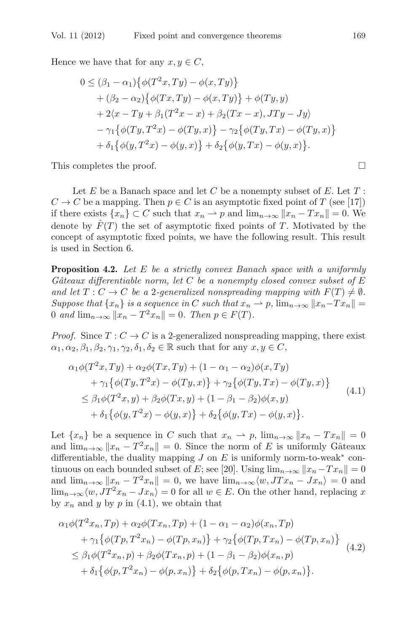Hence we have that for any  $x, y \in C$ ,

$$
0 \leq (\beta_1 - \alpha_1) \{ \phi(T^2x, Ty) - \phi(x, Ty) \} + (\beta_2 - \alpha_2) \{ \phi(Tx, Ty) - \phi(x, Ty) \} + \phi(Ty, y) + 2\langle x - Ty + \beta_1(T^2x - x) + \beta_2(Tx - x), JTy - Jy \rangle - \gamma_1 \{ \phi(Ty, T^2x) - \phi(Ty, x) \} - \gamma_2 \{ \phi(Ty, Tx) - \phi(Ty, x) \} + \delta_1 \{ \phi(y, T^2x) - \phi(y, x) \} + \delta_2 \{ \phi(y, Tx) - \phi(y, x) \}.
$$

This completes the proof.  $\Box$ 

Let  $E$  be a Banach space and let  $C$  be a nonempty subset of  $E$ . Let  $T$ :  $C \to C$  be a mapping. Then  $p \in C$  is an asymptotic fixed point of T (see [17]) if there exists  $\{x_n\} \subset C$  such that  $x_n \to p$  and  $\lim_{n\to\infty} ||x_n - Tx_n|| = 0$ . We denote by  $\hat{F}(T)$  the set of asymptotic fixed points of T. Motivated by the concept of asymptotic fixed points, we have the following result. This result is used in Section 6.

**Proposition 4.2.** Let E be a strictly convex Banach space with a uniformly Gâteaux differentiable norm, let C be a nonempty closed convex subset of  $E$ and let  $T: C \to C$  be a 2-generalized nonspreading mapping with  $F(T) \neq \emptyset$ . Suppose that  $\{x_n\}$  is a sequence in C such that  $x_n \to p$ ,  $\lim_{n\to\infty} ||x_n-Tx_n|| =$ 0 and  $\lim_{n\to\infty}$   $||x_n - T^2x_n|| = 0$ . Then  $p \in F(T)$ .

*Proof.* Since  $T: C \to C$  is a 2-generalized nonspreading mapping, there exist  $\alpha_1, \alpha_2, \beta_1, \beta_2, \gamma_1, \gamma_2, \delta_1, \delta_2 \in \mathbb{R}$  such that for any  $x, y \in C$ ,

$$
\alpha_1 \phi(T^2 x, Ty) + \alpha_2 \phi(T x, Ty) + (1 - \alpha_1 - \alpha_2) \phi(x, Ty) \n+ \gamma_1 \{\phi(T y, T^2 x) - \phi(T y, x)\} + \gamma_2 \{\phi(T y, Tx) - \phi(T y, x)\} \n\leq \beta_1 \phi(T^2 x, y) + \beta_2 \phi(T x, y) + (1 - \beta_1 - \beta_2) \phi(x, y) \n+ \delta_1 \{\phi(y, T^2 x) - \phi(y, x)\} + \delta_2 \{\phi(y, Tx) - \phi(y, x)\}.
$$
\n(4.1)

Let  $\{x_n\}$  be a sequence in C such that  $x_n \rightharpoonup p$ ,  $\lim_{n\to\infty} ||x_n - Tx_n|| = 0$ and  $\lim_{n\to\infty}$   $||x_n - T^2x_n|| = 0$ . Since the norm of E is uniformly Gâteaux differentiable, the duality mapping  $J$  on  $E$  is uniformly norm-to-weak<sup>\*</sup> continuous on each bounded subset of E; see [20]. Using  $\lim_{n\to\infty}||x_n-Tx_n||=0$ and  $\lim_{n\to\infty}$   $||x_n - T^2x_n|| = 0$ , we have  $\lim_{n\to\infty} \langle w, JTx_n - Jx_n \rangle = 0$  and  $\lim_{n\to\infty}\langle w, JT^2x_n - Jx_n\rangle = 0$  for all  $w \in E$ . On the other hand, replacing x by  $x_n$  and y by p in (4.1), we obtain that

$$
\alpha_1 \phi(T^2 x_n, Tp) + \alpha_2 \phi(T x_n, Tp) + (1 - \alpha_1 - \alpha_2) \phi(x_n, Tp) \n+ \gamma_1 \{ \phi(Tp, T^2 x_n) - \phi(Tp, x_n) \} + \gamma_2 \{ \phi(Tp, Tx_n) - \phi(Tp, x_n) \} \n\leq \beta_1 \phi(T^2 x_n, p) + \beta_2 \phi(Tx_n, p) + (1 - \beta_1 - \beta_2) \phi(x_n, p) \n+ \delta_1 \{ \phi(p, T^2 x_n) - \phi(p, x_n) \} + \delta_2 \{ \phi(p, Tx_n) - \phi(p, x_n) \}.
$$
\n(4.2)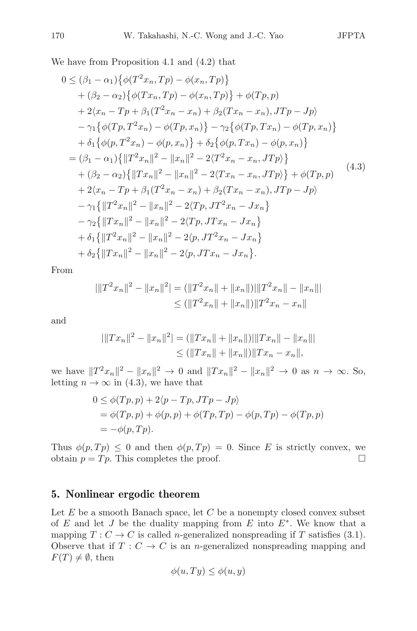We have from Proposition 4.1 and (4.2) that

$$
0 \leq (\beta_1 - \alpha_1) \{ \phi(T^2 x_n, Tp) - \phi(x_n, Tp) \} + (\beta_2 - \alpha_2) \{ \phi(T x_n, Tp) - \phi(x_n, Tp) \} + \phi(Tp, p) + 2\langle x_n - Tp + \beta_1(T^2 x_n - x_n) + \beta_2(T x_n - x_n), JTp - Jp \rangle - \gamma_1 \{ \phi(Tp, T^2 x_n) - \phi(Tp, x_n) \} - \gamma_2 \{ \phi(Tp, Tx_n) - \phi(Tp, x_n) \} + \delta_1 \{ \phi(p, T^2 x_n) - \phi(p, x_n) \} + \delta_2 \{ \phi(p, Tx_n) - \phi(p, x_n) \} = (\beta_1 - \alpha_1) \{ ||T^2 x_n||^2 - ||x_n||^2 - 2\langle T^2 x_n - x_n, JTp \rangle \} + (\beta_2 - \alpha_2) \{ ||Tx_n||^2 - ||x_n||^2 - 2\langle Tx_n - x_n, JTp \rangle \} + \phi(Tp, p) + 2\langle x_n - Tp + \beta_1(T^2 x_n - x_n) + \beta_2(T x_n - x_n), JTp - Jp \rangle - \gamma_1 \{ ||T^2 x_n||^2 - ||x_n||^2 - 2\langle Tp, JT^2 x_n - Jx_n \} - \gamma_2 \{ ||Tx_n||^2 - ||x_n||^2 - 2\langle Ty, JTx_n - Jx_n \} + \delta_1 \{ ||T^2 x_n||^2 - ||x_n||^2 - 2\langle p, JTx_n - Jx_n \} + \delta_2 \{ ||Tx_n||^2 - ||x_n||^2 - 2\langle p, JTx_n - Jx_n \}.
$$

From

$$
|\|T^2x_n\|^2 - \|x_n\|^2| = (||T^2x_n|| + \|x_n||)||T^2x_n|| - \|x_n\||
$$
  
\n
$$
\leq (||T^2x_n|| + \|x_n||)||T^2x_n - x_n||
$$

and

$$
|\|Tx_n\|^2 - \|x_n\|^2| = (\|Tx_n\| + \|x_n\|) |\|Tx_n\| - \|x_n\||
$$
  
\n
$$
\leq ( \|Tx_n\| + \|x_n\|) \|Tx_n - x_n\|,
$$

we have  $||T^2x_n||^2 - ||x_n||^2 \to 0$  and  $||Tx_n||^2 - ||x_n||^2 \to 0$  as  $n \to \infty$ . So, letting  $n \to \infty$  in (4.3), we have that

$$
0 \leq \phi(Tp, p) + 2\langle p - Tp, JTp - Jp \rangle
$$
  
=  $\phi(Tp, p) + \phi(p, p) + \phi(Tp, Tp) - \phi(p, Tp) - \phi(Tp, p)$   
=  $-\phi(p, Tp)$ .

Thus  $\phi(p, Tp) \leq 0$  and then  $\phi(p, Tp) = 0$ . Since E is strictly convex, we obtain  $p = Tp$ . This completes the proof. obtain  $p = Tp$ . This completes the proof.

# **5. Nonlinear ergodic theorem**

Let  $E$  be a smooth Banach space, let  $C$  be a nonempty closed convex subset of E and let J be the duality mapping from E into  $E^*$ . We know that a mapping  $T: C \to C$  is called *n*-generalized nonspreading if T satisfies (3.1). Observe that if  $T: C \to C$  is an *n*-generalized nonspreading mapping and  $F(T) \neq \emptyset$ , then

$$
\phi(u, Ty) \le \phi(u, y)
$$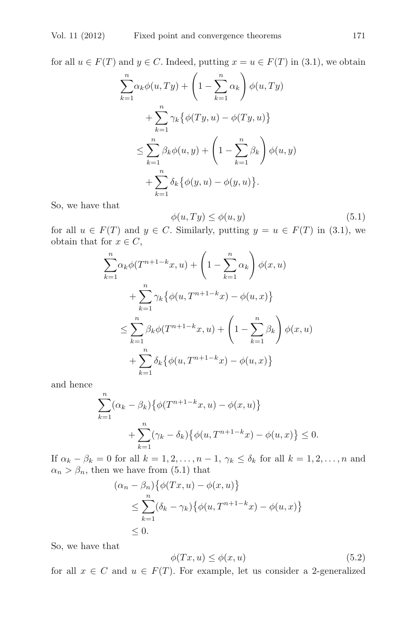for all  $u \in F(T)$  and  $y \in C$ . Indeed, putting  $x = u \in F(T)$  in (3.1), we obtain

$$
\sum_{k=1}^{n} \alpha_k \phi(u, Ty) + \left(1 - \sum_{k=1}^{n} \alpha_k \right) \phi(u, Ty)
$$

$$
+ \sum_{k=1}^{n} \gamma_k \{ \phi(Ty, u) - \phi(Ty, u) \}
$$

$$
\leq \sum_{k=1}^{n} \beta_k \phi(u, y) + \left(1 - \sum_{k=1}^{n} \beta_k \right) \phi(u, y)
$$

$$
+ \sum_{k=1}^{n} \delta_k \{ \phi(y, u) - \phi(y, u) \}.
$$

So, we have that

$$
\phi(u, Ty) \le \phi(u, y) \tag{5.1}
$$
\n
$$
\text{Similarly, putting } u = u \in F(T) \text{ in (2.1) are}
$$

for all  $u \in F(T)$  and  $y \in C$ . Similarly, putting  $y = u \in F(T)$  in (3.1), we obtain that for  $x \in C$ obtain that for  $x \in C$ ,

$$
\sum_{k=1}^{n} \alpha_k \phi(T^{n+1-k}x, u) + \left(1 - \sum_{k=1}^{n} \alpha_k\right) \phi(x, u) \n+ \sum_{k=1}^{n} \gamma_k \{\phi(u, T^{n+1-k}x) - \phi(u, x)\} \n\leq \sum_{k=1}^{n} \beta_k \phi(T^{n+1-k}x, u) + \left(1 - \sum_{k=1}^{n} \beta_k\right) \phi(x, u) \n+ \sum_{k=1}^{n} \delta_k \{\phi(u, T^{n+1-k}x) - \phi(u, x)\}
$$

and hence

$$
\sum_{k=1}^{n} (\alpha_k - \beta_k) \{ \phi(T^{n+1-k}x, u) - \phi(x, u) \}
$$
  
+ 
$$
\sum_{k=1}^{n} (\gamma_k - \delta_k) \{ \phi(u, T^{n+1-k}x) - \phi(u, x) \} \le 0.
$$

If  $\alpha_k - \beta_k = 0$  for all  $k = 1, 2, \ldots, n - 1, \gamma_k \leq \delta_k$  for all  $k = 1, 2, \ldots, n$  and  $\alpha_n > \beta_n$ , then we have from (5.1) that

$$
(\alpha_n - \beta_n) \{ \phi(Tx, u) - \phi(x, u) \}
$$
  
\n
$$
\leq \sum_{k=1}^n (\delta_k - \gamma_k) \{ \phi(u, T^{n+1-k}x) - \phi(u, x) \}
$$
  
\n
$$
\leq 0.
$$

So, we have that

$$
\phi(Tx, u) \le \phi(x, u) \tag{5.2}
$$

for all  $x \in C$  and  $u \in F(T)$ . For example, let us consider a 2-generalized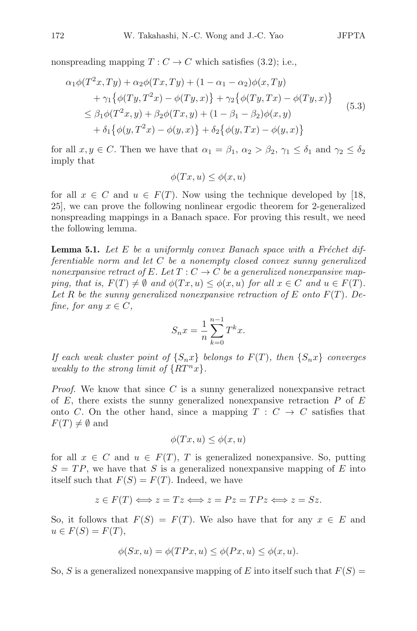nonspreading mapping  $T: C \to C$  which satisfies (3.2); i.e.,

$$
\alpha_1 \phi(T^2 x, Ty) + \alpha_2 \phi(T x, Ty) + (1 - \alpha_1 - \alpha_2) \phi(x, Ty) \n+ \gamma_1 \{ \phi(T y, T^2 x) - \phi(T y, x) \} + \gamma_2 \{ \phi(T y, Tx) - \phi(T y, x) \} \n\le \beta_1 \phi(T^2 x, y) + \beta_2 \phi(T x, y) + (1 - \beta_1 - \beta_2) \phi(x, y) \n+ \delta_1 \{ \phi(y, T^2 x) - \phi(y, x) \} + \delta_2 \{ \phi(y, Tx) - \phi(y, x) \}
$$
\n(5.3)

for all  $x, y \in C$ . Then we have that  $\alpha_1 = \beta_1$ ,  $\alpha_2 > \beta_2$ ,  $\gamma_1 \leq \delta_1$  and  $\gamma_2 \leq \delta_2$ imply that

$$
\phi(Tx, u) \le \phi(x, u)
$$

for all  $x \in C$  and  $u \in F(T)$ . Now using the technique developed by [18, 25], we can prove the following nonlinear ergodic theorem for 2-generalized nonspreading mappings in a Banach space. For proving this result, we need the following lemma.

**Lemma 5.1.** Let E be a uniformly convex Banach space with a Fréchet differentiable norm and let C be a nonempty closed convex sunny generalized nonexpansive retract of E. Let  $T: C \to C$  be a generalized nonexpansive mapping, that is,  $F(T) \neq \emptyset$  and  $\phi(Tx, u) \leq \phi(x, u)$  for all  $x \in C$  and  $u \in F(T)$ . Let R be the sunny generalized nonexpansive retraction of E onto  $F(T)$ . Define, for any  $x \in C$ ,

$$
S_n x = \frac{1}{n} \sum_{k=0}^{n-1} T^k x.
$$

If each weak cluster point of  $\{S_nx\}$  belongs to  $F(T)$ , then  $\{S_nx\}$  converges weakly to the strong limit of  $\{RT^n x\}$ .

*Proof.* We know that since  $C$  is a sunny generalized nonexpansive retract of  $E$ , there exists the sunny generalized nonexpansive retraction  $P$  of  $E$ onto C. On the other hand, since a mapping  $T : C \rightarrow C$  satisfies that  $F(T) \neq \emptyset$  and

$$
\phi(Tx, u) \le \phi(x, u)
$$

for all  $x \in C$  and  $u \in F(T)$ , T is generalized nonexpansive. So, putting  $S = TP$ , we have that S is a generalized nonexpansive mapping of E into itself such that  $F(S) = F(T)$ . Indeed, we have

$$
z \in F(T) \Longleftrightarrow z = Tz \Longleftrightarrow z = Pz = TPz \Longleftrightarrow z = Sz.
$$

So, it follows that  $F(S) = F(T)$ . We also have that for any  $x \in E$  and  $u \in F(S) = F(T),$ 

$$
\phi(Sx, u) = \phi(TPx, u) \le \phi(Px, u) \le \phi(x, u).
$$

So, S is a generalized nonexpansive mapping of E into itself such that  $F(S)$  =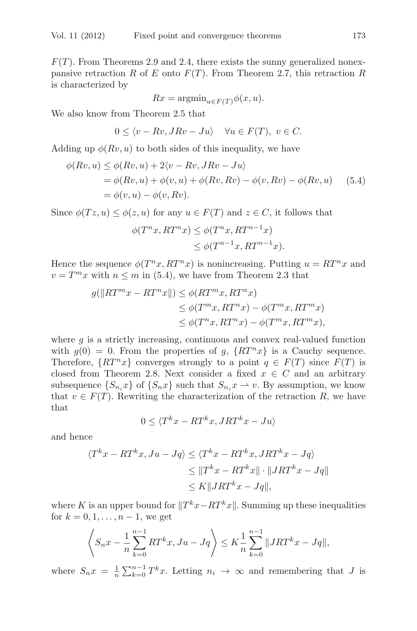$F(T)$ . From Theorems 2.9 and 2.4, there exists the sunny generalized nonexpansive retraction R of E onto  $F(T)$ . From Theorem 2.7, this retraction R is characterized by

$$
Rx = \operatorname{argmin}_{u \in F(T)} \phi(x, u).
$$

We also know from Theorem 2.5 that

$$
0 \le \langle v - Rv, JRv - Ju \rangle \quad \forall u \in F(T), \ v \in C.
$$

Adding up  $\phi(Rv, u)$  to both sides of this inequality, we have

$$
\phi(Rv, u) \leq \phi(Rv, u) + 2\langle v - Rv, JRv - Ju \rangle
$$
  
=  $\phi(Rv, u) + \phi(v, u) + \phi(Rv, Rv) - \phi(v, Rv) - \phi(Rv, u)$  (5.4)  
=  $\phi(v, u) - \phi(v, Rv)$ .

Since  $\phi(Tz, u) \leq \phi(z, u)$  for any  $u \in F(T)$  and  $z \in C$ , it follows that

$$
\phi(T^n x, RT^n x) \leq \phi(T^n x, RT^{n-1} x)
$$
  
 
$$
\leq \phi(T^{n-1} x, RT^{n-1} x).
$$

Hence the sequence  $\phi(T^n x, RT^n x)$  is nonincreasing. Putting  $u = RT^n x$  and  $v = T^m x$  with  $n \leq m$  in (5.4), we have from Theorem 2.3 that

$$
g(||RT^m x - RT^n x||) \leq \phi(RT^m x, RT^n x)
$$
  
\n
$$
\leq \phi(T^m x, RT^n x) - \phi(T^m x, RT^m x)
$$
  
\n
$$
\leq \phi(T^n x, RT^n x) - \phi(T^m x, RT^m x),
$$

where  $q$  is a strictly increasing, continuous and convex real-valued function with  $g(0) = 0$ . From the properties of g,  $\{RT^n x\}$  is a Cauchy sequence. Therefore,  $\{RT^n x\}$  converges strongly to a point  $q \in F(T)$  since  $F(T)$  is closed from Theorem 2.8. Next consider a fixed  $x \in C$  and an arbitrary subsequence  $\{S_{n_i}x\}$  of  $\{S_nx\}$  such that  $S_{n_i}x \to v$ . By assumption, we know that  $v \in F(T)$ . Rewriting the characterization of the retraction R, we have that

$$
0 \le \langle T^k x - RT^k x, JRT^k x - Ju \rangle
$$

and hence

$$
\langle T^k x - RT^k x, Ju - Jq \rangle \le \langle T^k x - RT^k x, JRT^k x - Jq \rangle
$$
  
\n
$$
\le \|T^k x - RT^k x\| \cdot \|JRT^k x - Jq\|
$$
  
\n
$$
\le K \|JRT^k x - Jq\|,
$$

where K is an upper bound for  $||T^kx - RT^kx||$ . Summing up these inequalities for  $k = 0, 1, ..., n = 1$ , we get for  $k = 0, 1, ..., n - 1$ , we get

$$
\left\langle S_n x - \frac{1}{n} \sum_{k=0}^{n-1} RT^k x, Ju - Jq \right\rangle \le K \frac{1}{n} \sum_{k=0}^{n-1} ||JRT^k x - Jq||,
$$

where  $S_n x = \frac{1}{n} \sum_{k=0}^{n-1} T^k x$ . Letting  $n_i \to \infty$  and remembering that J is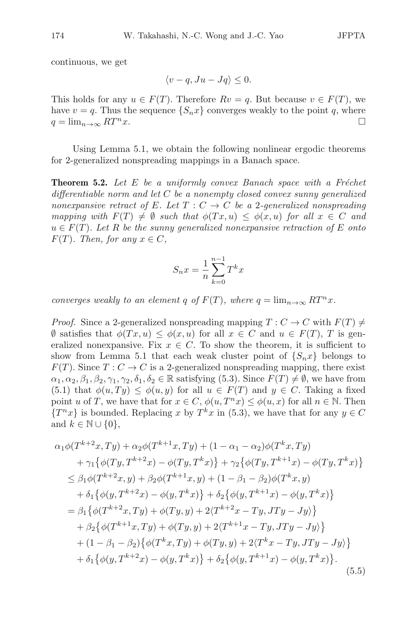continuous, we get

$$
\langle v-q, Ju-Jq \rangle \leq 0.
$$

This holds for any  $u \in F(T)$ . Therefore  $Rv = q$ . But because  $v \in F(T)$ , we have  $v = q$ . Thus the sequence  $\{S_n x\}$  converges weakly to the point q, where  $q = \lim_{n \to \infty} RT^n x$  $q = \lim_{n \to \infty} RT^n x$ .

Using Lemma 5.1, we obtain the following nonlinear ergodic theorems for 2-generalized nonspreading mappings in a Banach space.

**Theorem 5.2.** Let  $E$  be a uniformly convex Banach space with a Fréchet differentiable norm and let  $C$  be a nonempty closed convex sunny generalized nonexpansive retract of E. Let  $T: C \to C$  be a 2-generalized nonspreading mapping with  $F(T) \neq \emptyset$  such that  $\phi(Tx, u) \leq \phi(x, u)$  for all  $x \in C$  and  $u \in F(T)$ . Let R be the sunny generalized nonexpansive retraction of E onto  $F(T)$ . Then, for any  $x \in C$ ,

$$
S_n x = \frac{1}{n} \sum_{k=0}^{n-1} T^k x
$$

converges weakly to an element q of  $F(T)$ , where  $q = \lim_{n \to \infty} RT^n x$ .

*Proof.* Since a 2-generalized nonspreading mapping  $T: C \to C$  with  $F(T) \neq$  $\emptyset$  satisfies that  $\phi(Tx, u) \leq \phi(x, u)$  for all  $x \in C$  and  $u \in F(T)$ , T is generalized nonexpansive. Fix  $x \in C$ . To show the theorem, it is sufficient to show from Lemma 5.1 that each weak cluster point of  $\{S_n x\}$  belongs to  $F(T)$ . Since  $T: C \to C$  is a 2-generalized nonspreading mapping, there exist  $\alpha_1, \alpha_2, \beta_1, \beta_2, \gamma_1, \gamma_2, \delta_1, \delta_2 \in \mathbb{R}$  satisfying (5.3). Since  $F(T) \neq \emptyset$ , we have from (5.1) that  $\phi(u, Ty) \leq \phi(u, y)$  for all  $u \in F(T)$  and  $y \in C$ . Taking a fixed point u of T, we have that for  $x \in C$ ,  $\phi(u, T^n x) \leq \phi(u, x)$  for all  $n \in \mathbb{N}$ . Then  ${T^n x}$  is bounded. Replacing x by  $T^k x$  in (5.3), we have that for any  $y \in C$ and  $k \in \mathbb{N} \cup \{0\},\$ 

$$
\alpha_{1}\phi(T^{k+2}x, Ty) + \alpha_{2}\phi(T^{k+1}x, Ty) + (1 - \alpha_{1} - \alpha_{2})\phi(T^{k}x, Ty) \n+ \gamma_{1}\{\phi(Ty, T^{k+2}x) - \phi(Ty, T^{k}x)\} + \gamma_{2}\{\phi(Ty, T^{k+1}x) - \phi(Ty, T^{k}x)\} \n\leq \beta_{1}\phi(T^{k+2}x, y) + \beta_{2}\phi(T^{k+1}x, y) + (1 - \beta_{1} - \beta_{2})\phi(T^{k}x, y) \n+ \delta_{1}\{\phi(y, T^{k+2}x) - \phi(y, T^{k}x)\} + \delta_{2}\{\phi(y, T^{k+1}x) - \phi(y, T^{k}x)\} \n= \beta_{1}\{\phi(T^{k+2}x, Ty) + \phi(Ty, y) + 2\langle T^{k+2}x - Ty, JTy - Jy\rangle\} \n+ \beta_{2}\{\phi(T^{k+1}x, Ty) + \phi(Ty, y) + 2\langle T^{k+1}x - Ty, JTy - Jy\rangle\} \n+ (1 - \beta_{1} - \beta_{2})\{\phi(T^{k}x, Ty) + \phi(Ty, y) + 2\langle T^{k}x - Ty, JTy - Jy\rangle\} \n+ \delta_{1}\{\phi(y, T^{k+2}x) - \phi(y, T^{k}x)\} + \delta_{2}\{\phi(y, T^{k+1}x) - \phi(y, T^{k}x)\}.
$$
\n(5.5)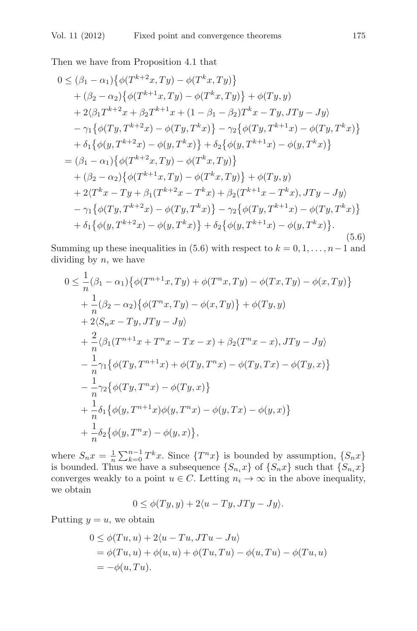Then we have from Proposition 4.1 that

$$
0 \leq (\beta_1 - \alpha_1) \{ \phi(T^{k+2}x, Ty) - \phi(T^kx, Ty) \} + (\beta_2 - \alpha_2) \{ \phi(T^{k+1}x, Ty) - \phi(T^kx, Ty) \} + \phi(Ty, y) + 2(\beta_1 T^{k+2}x + \beta_2 T^{k+1}x + (1 - \beta_1 - \beta_2)T^kx - Ty, JTy - Jy) - \gamma_1 \{ \phi(Ty, T^{k+2}x) - \phi(Ty, T^kx) \} - \gamma_2 \{ \phi(Ty, T^{k+1}x) - \phi(Ty, T^kx) \} + \delta_1 \{ \phi(y, T^{k+2}x) - \phi(y, T^kx) \} + \delta_2 \{ \phi(y, T^{k+1}x) - \phi(y, T^kx) \} = (\beta_1 - \alpha_1) \{ \phi(T^{k+2}x, Ty) - \phi(T^kx, Ty) \} + (\beta_2 - \alpha_2) \{ \phi(T^{k+1}x, Ty) - \phi(T^kx, Ty) \} + \phi(Ty, y) + 2\langle T^kx - Ty + \beta_1(T^{k+2}x - T^kx) + \beta_2(T^{k+1}x - T^kx), JTy - Jy \rangle - \gamma_1 \{ \phi(Ty, T^{k+2}x) - \phi(Ty, T^kx) \} - \gamma_2 \{ \phi(Ty, T^{k+1}x) - \phi(Ty, T^kx) \} + \delta_1 \{ \phi(y, T^{k+2}x) - \phi(y, T^kx) \} + \delta_2 \{ \phi(y, T^{k+1}x) - \phi(y, T^kx) \}.
$$
\n(5.6)

Summing up these inequalities in (5.6) with respect to  $k = 0, 1, \ldots, n-1$  and dividing by  $n$ , we have

$$
0 \leq \frac{1}{n} (\beta_1 - \alpha_1) \{ \phi(T^{n+1}x, Ty) + \phi(T^n x, Ty) - \phi(Tx, Ty) - \phi(x, Ty) \} + \frac{1}{n} (\beta_2 - \alpha_2) \{ \phi(T^n x, Ty) - \phi(x, Ty) \} + \phi(Ty, y) + 2\langle S_n x - Ty, JTy - Jy \rangle + \frac{2}{n} \langle \beta_1(T^{n+1}x + T^n x - Tx - x) + \beta_2(T^n x - x), JTy - Jy \rangle - \frac{1}{n} \gamma_1 \{ \phi(Ty, T^{n+1}x) + \phi(Ty, T^n x) - \phi(Ty, Tx) - \phi(Ty, x) \} - \frac{1}{n} \gamma_2 \{ \phi(Ty, T^n x) - \phi(Ty, x) \} + \frac{1}{n} \delta_1 \{ \phi(y, T^{n+1}x) \phi(y, T^n x) - \phi(y, Tx) - \phi(y, x) \} + \frac{1}{n} \delta_2 \{ \phi(y, T^n x) - \phi(y, x) \},
$$

where  $S_n x = \frac{1}{n} \sum_{k=0}^{n-1} T^k x$ . Since  $\{T^n x\}$  is bounded by assumption,  $\{S_n x\}$  is bounded. Thus we have a subsequence  $\{S_n x\}$  of  $\{S_n x\}$  such that  $\{S_n x\}$ is bounded. Thus we have a subsequence  $\{S_{n,i}\}\$  of  $\{S_n x\}$  such that  $\{S_{n,i} x\}$  converges weakly to a point  $u \in C$ . Letting  $x \to \infty$  in the above inequality converges weakly to a point  $u \in C$ . Letting  $n_i \to \infty$  in the above inequality, we obtain

$$
0 \le \phi(Ty, y) + 2\langle u - Ty, JTy - Jy \rangle.
$$

Putting  $y = u$ , we obtain

$$
0 \leq \phi(Tu, u) + 2\langle u - Tu, JTu - Ju \rangle
$$
  
=  $\phi(Tu, u) + \phi(u, u) + \phi(Tu, Tu) - \phi(u, Tu) - \phi(Tu, u)$   
=  $-\phi(u, Tu)$ .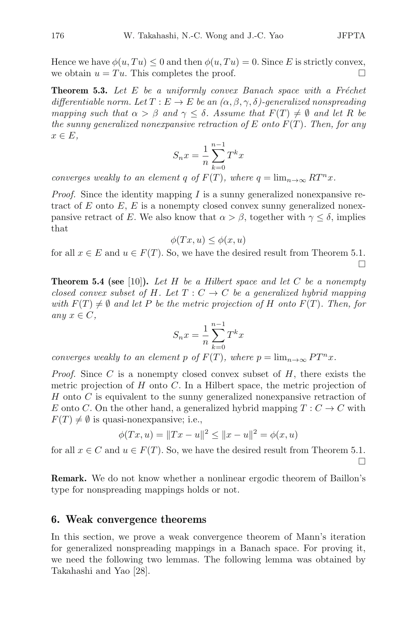Hence we have  $\phi(u, Tu) \leq 0$  and then  $\phi(u, Tu) = 0$ . Since E is strictly convex, we obtain  $u = Tu$ . This completes the proof. we obtain  $u = Tu$ . This completes the proof.

**Theorem 5.3.** Let  $E$  be a uniformly convex Banach space with a Fréchet differentiable norm. Let  $T : E \to E$  be an  $(\alpha, \beta, \gamma, \delta)$ -generalized nonspreading mapping such that  $\alpha > \beta$  and  $\gamma \leq \delta$ . Assume that  $F(T) \neq \emptyset$  and let R be the sunny generalized nonexpansive retraction of E onto  $F(T)$ . Then, for any  $x \in E$ ,

$$
S_n x = \frac{1}{n} \sum_{k=0}^{n-1} T^k x
$$

converges weakly to an element q of  $F(T)$ , where  $q = \lim_{n \to \infty} RT^n x$ .

*Proof.* Since the identity mapping  $I$  is a sunny generalized nonexpansive retract of E onto  $E$ , E is a nonempty closed convex sunny generalized nonexpansive retract of E. We also know that  $\alpha > \beta$ , together with  $\gamma < \delta$ , implies that

$$
\phi(Tx, u) \le \phi(x, u)
$$

for all  $x \in E$  and  $u \in F(T)$ . So, we have the desired result from Theorem 5.1.  $\Box$ 

**Theorem 5.4 (see** [10]). Let  $H$  be a Hilbert space and let  $C$  be a nonempty closed convex subset of H. Let  $T: C \to C$  be a generalized hybrid mapping with  $F(T) \neq \emptyset$  and let P be the metric projection of H onto  $F(T)$ . Then, for any  $x \in C$ ,

$$
S_n x = \frac{1}{n} \sum_{k=0}^{n-1} T^k x
$$

converges weakly to an element p of  $F(T)$ , where  $p = \lim_{n \to \infty} PT^n x$ .

*Proof.* Since C is a nonempty closed convex subset of  $H$ , there exists the metric projection of  $H$  onto  $C$ . In a Hilbert space, the metric projection of H onto C is equivalent to the sunny generalized nonexpansive retraction of E onto C. On the other hand, a generalized hybrid mapping  $T: C \to C$  with  $F(T) \neq \emptyset$  is quasi-nonexpansive; i.e.,

$$
\phi(Tx, u) = ||Tx - u||^2 \le ||x - u||^2 = \phi(x, u)
$$

for all  $x \in C$  and  $u \in F(T)$ . So, we have the desired result from Theorem 5.1.  $\Box$ 

**Remark.** We do not know whether a nonlinear ergodic theorem of Baillon's type for nonspreading mappings holds or not.

#### **6. Weak convergence theorems**

In this section, we prove a weak convergence theorem of Mann's iteration for generalized nonspreading mappings in a Banach space. For proving it, we need the following two lemmas. The following lemma was obtained by Takahashi and Yao [28].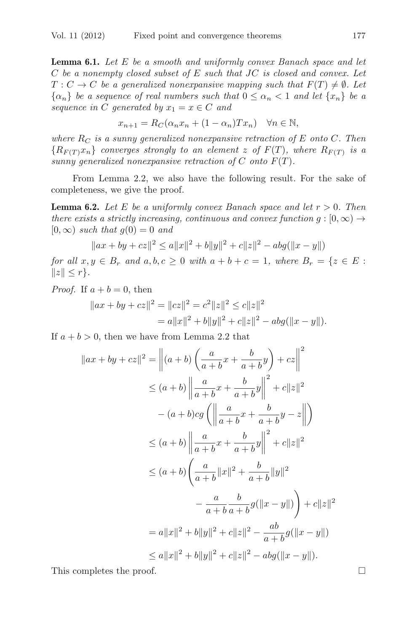**Lemma 6.1.** Let E be a smooth and uniformly convex Banach space and let  $C$  be a nonempty closed subset of  $E$  such that  $JC$  is closed and convex. Let  $T: C \to C$  be a generalized nonexpansive mapping such that  $F(T) \neq \emptyset$ . Let  $\{\alpha_n\}$  be a sequence of real numbers such that  $0 \leq \alpha_n < 1$  and let  $\{x_n\}$  be a sequence in C generated by  $x_1 = x \in C$  and

$$
x_{n+1} = R_C(\alpha_n x_n + (1 - \alpha_n)Tx_n) \quad \forall n \in \mathbb{N},
$$

where  $R_C$  is a sunny generalized nonexpansive retraction of E onto C. Then  ${R_{F(T)}x_n}$  converges strongly to an element z of  $F(T)$ , where  $R_{F(T)}$  is a sunny generalized nonexpansive retraction of  $C$  onto  $F(T)$ .

From Lemma 2.2, we also have the following result. For the sake of completeness, we give the proof.

**Lemma 6.2.** Let E be a uniformly convex Banach space and let  $r > 0$ . Then there exists a strictly increasing, continuous and convex function  $g : [0, \infty) \rightarrow$  $[0, \infty)$  such that  $g(0) = 0$  and

$$
||ax + by + cz||^{2} \le a||x||^{2} + b||y||^{2} + c||z||^{2} - abg(||x - y||)
$$

for all  $x, y \in B_r$  and  $a, b, c \ge 0$  with  $a + b + c = 1$ , where  $B_r = \{z \in E$ :  $||z|| \leq r$ .

*Proof.* If  $a + b = 0$ , then

$$
||ax + by + cz||2 = ||cz||2 = c2 ||z||2 \le c||z||2
$$
  
= a||x||<sup>2</sup> + b||y||<sup>2</sup> + c||z||<sup>2</sup> - abg(||x - y||).

 $^{2}$ 

If  $a + b > 0$ , then we have from Lemma 2.2 that

$$
||ax + by + cz||^{2} = ||(a + b) \left(\frac{a}{a + b}x + \frac{b}{a + b}y\right) + cz||^{2}
$$
  
\n
$$
\leq (a + b) ||\frac{a}{a + b}x + \frac{b}{a + b}y||^{2} + c||z||^{2}
$$
  
\n
$$
- (a + b)cg \left( \left\| \frac{a}{a + b}x + \frac{b}{a + b}y - z \right\| \right)
$$
  
\n
$$
\leq (a + b) ||\frac{a}{a + b}x + \frac{b}{a + b}y||^{2} + c||z||^{2}
$$
  
\n
$$
\leq (a + b) \left( \frac{a}{a + b} ||x||^{2} + \frac{b}{a + b} ||y||^{2}
$$
  
\n
$$
- \frac{a}{a + b} \frac{b}{a + b} g(||x - y||) \right) + c||z||^{2}
$$
  
\n
$$
= a||x||^{2} + b||y||^{2} + c||z||^{2} - \frac{ab}{a + b} g(||x - y||)
$$
  
\n
$$
\leq a||x||^{2} + b||y||^{2} + c||z||^{2} - abg(||x - y||).
$$

This completes the proof.  $\Box$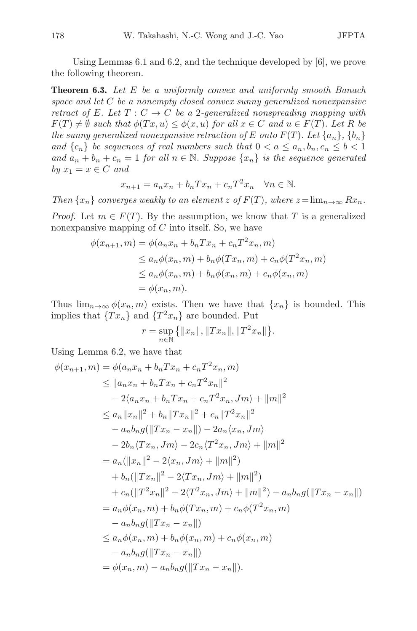Using Lemmas 6.1 and 6.2, and the technique developed by [6], we prove the following theorem.

**Theorem 6.3.** Let E be a uniformly convex and uniformly smooth Banach space and let  $C$  be a nonempty closed convex sunny generalized nonexpansive retract of E. Let  $T: C \to C$  be a 2-generalized nonspreading mapping with  $F(T) \neq \emptyset$  such that  $\phi(Tx, u) \leq \phi(x, u)$  for all  $x \in C$  and  $u \in F(T)$ . Let R be the sunny generalized nonexpansive retraction of E onto  $F(T)$ . Let  $\{a_n\}, \{b_n\}$ and  $\{c_n\}$  be sequences of real numbers such that  $0 < a \leq a_n, b_n, c_n \leq b < 1$ and  $a_n + b_n + c_n = 1$  for all  $n \in \mathbb{N}$ . Suppose  $\{x_n\}$  is the sequence generated by  $x_1 = x \in C$  and  $x_n$ 

$$
x_{n+1} = a_n x_n + b_n T x_n + c_n T^2 x_n \quad \forall n \in \mathbb{N}.
$$

Then  $\{x_n\}$  converges weakly to an element z of  $F(T)$ , where  $z=\lim_{n\to\infty}Rx_n$ . *Proof.* Let  $m \in F(T)$ . By the assumption, we know that T is a generalized nonexpansive mapping of  $C$  into itself. So, we have

$$
\phi(x_{n+1}, m) = \phi(a_n x_n + b_n T x_n + c_n T^2 x_n, m)
$$
  
\n
$$
\le a_n \phi(x_n, m) + b_n \phi(T x_n, m) + c_n \phi(T^2 x_n, m)
$$
  
\n
$$
\le a_n \phi(x_n, m) + b_n \phi(x_n, m) + c_n \phi(x_n, m)
$$
  
\n
$$
= \phi(x_n, m).
$$

Thus  $\lim_{n\to\infty}\phi(x_n,m)$  exists. Then we have that  $\{x_n\}$  is bounded. This implies that  $\{Tx_n\}$  and  $\{T^2x_n\}$  are bounded. Put

$$
r = \sup_{n \in \mathbb{N}} \{ ||x_n||, ||Tx_n||, ||T^2x_n|| \}.
$$

Using Lemma 6.2, we have that

$$
\phi(x_{n+1}, m) = \phi(a_n x_n + b_n T x_n + c_n T^2 x_n, m)
$$
  
\n
$$
\leq ||a_n x_n + b_n T x_n + c_n T^2 x_n||^2
$$
  
\n
$$
- 2\langle a_n x_n + b_n T x_n + c_n T^2 x_n, Jm \rangle + ||m||^2
$$
  
\n
$$
\leq a_n ||x_n||^2 + b_n ||Tx_n||^2 + c_n ||T^2 x_n||^2
$$
  
\n
$$
- a_n b_n g(||Tx_n - x_n||) - 2a_n \langle x_n, Jm \rangle
$$
  
\n
$$
- 2b_n \langle Tx_n, Jm \rangle - 2c_n \langle T^2 x_n, Jm \rangle + ||m||^2
$$
  
\n
$$
= a_n (||x_n||^2 - 2\langle x_n, Jm \rangle + ||m||^2)
$$
  
\n
$$
+ b_n (||Tx_n||^2 - 2\langle Tx_n, Jm \rangle + ||m||^2)
$$
  
\n
$$
+ c_n (||T^2 x_n||^2 - 2\langle T^2 x_n, Jm \rangle + ||m||^2) - a_n b_n g(||Tx_n - x_n||)
$$
  
\n
$$
= a_n \phi(x_n, m) + b_n \phi(T x_n, m) + c_n \phi(T^2 x_n, m)
$$
  
\n
$$
- a_n b_n g(||Tx_n - x_n||)
$$
  
\n
$$
\leq a_n \phi(x_n, m) + b_n \phi(x_n, m) + c_n \phi(x_n, m)
$$
  
\n
$$
- a_n b_n g(||Tx_n - x_n||)
$$
  
\n
$$
= \phi(x_n, m) - a_n b_n g(||Tx_n - x_n||).
$$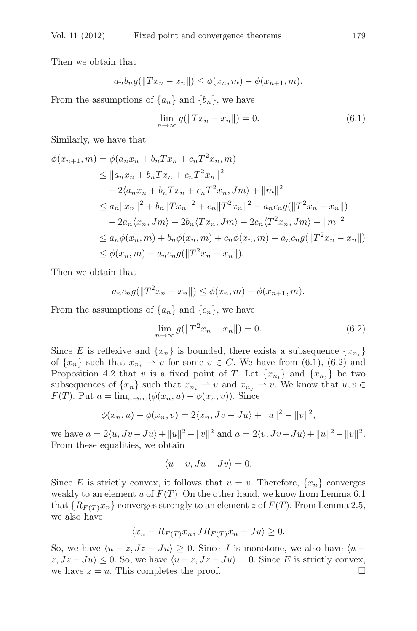Then we obtain that

$$
a_n b_n g(||Tx_n - x_n||) \leq \phi(x_n, m) - \phi(x_{n+1}, m).
$$

From the assumptions of  $\{a_n\}$  and  $\{b_n\}$ , we have

$$
\lim_{n \to \infty} g(||Tx_n - x_n||) = 0.
$$
\n(6.1)

Similarly, we have that

$$
\phi(x_{n+1}, m) = \phi(a_n x_n + b_n T x_n + c_n T^2 x_n, m)
$$
  
\n
$$
\leq ||a_n x_n + b_n T x_n + c_n T^2 x_n||^2
$$
  
\n
$$
- 2\langle a_n x_n + b_n T x_n + c_n T^2 x_n, Jm \rangle + ||m||^2
$$
  
\n
$$
\leq a_n ||x_n||^2 + b_n ||Tx_n||^2 + c_n ||T^2 x_n||^2 - a_n c_n g(||T^2 x_n - x_n||)
$$
  
\n
$$
- 2a_n \langle x_n, Jm \rangle - 2b_n \langle Tx_n, Jm \rangle - 2c_n \langle T^2 x_n, Jm \rangle + ||m||^2
$$
  
\n
$$
\leq a_n \phi(x_n, m) + b_n \phi(x_n, m) + c_n \phi(x_n, m) - a_n c_n g(||T^2 x_n - x_n||)
$$
  
\n
$$
\leq \phi(x_n, m) - a_n c_n g(||T^2 x_n - x_n||).
$$

Then we obtain that

$$
a_n c_n g(||T^2 x_n - x_n||) \leq \phi(x_n, m) - \phi(x_{n+1}, m).
$$

From the assumptions of  $\{a_n\}$  and  $\{c_n\}$ , we have

$$
\lim_{n \to \infty} g(\|T^2 x_n - x_n\|) = 0.
$$
\n(6.2)

Since E is reflexive and  $\{x_n\}$  is bounded, there exists a subsequence  $\{x_{n_i}\}$ of  $\{x_n\}$  such that  $x_{n_i} \rightharpoonup v$  for some  $v \in C$ . We have from (6.1), (6.2) and Proposition 4.2 that v is a fixed point of T. Let  $\{x_{n_i}\}\$  and  $\{x_{n_j}\}\$  be two subsequences of  $\{x_n\}$  such that  $x_{n_i} \rightharpoonup u$  and  $x_{n_j} \rightharpoonup v$ . We know that  $u, v \in$  $F(T)$ . Put  $a = \lim_{n \to \infty} (\phi(x_n, u) - \phi(x_n, v))$ . Since

$$
\phi(x_n, u) - \phi(x_n, v) = 2\langle x_n, Jv - Ju \rangle + ||u||^2 - ||v||^2,
$$

we have  $a = 2\langle u, Jv - Ju \rangle + ||u||^2 - ||v||^2$  and  $a = 2\langle v, Jv - Ju \rangle + ||u||^2 - ||v||^2$ . From these equalities, we obtain

$$
\langle u-v, Ju-Jv \rangle = 0.
$$

Since E is strictly convex, it follows that  $u = v$ . Therefore,  $\{x_n\}$  converges weakly to an element u of  $F(T)$ . On the other hand, we know from Lemma 6.1 that  ${R_{F(T)}x_n}$  converges strongly to an element z of  $F(T)$ . From Lemma 2.5, we also have

$$
\langle x_n - R_{F(T)} x_n, JR_{F(T)} x_n - Ju \rangle \ge 0.
$$

So, we have  $\langle u - z, Jz - Ju \rangle \geq 0$ . Since J is monotone, we also have  $\langle u - z, Jz - Ju \rangle$  $z, Jz - Ju \leq 0$ . So, we have  $\langle u - z, Jz - Ju \rangle = 0$ . Since E is strictly convex, we have  $z = u$ . This completes the proof. we have  $z = u$ . This completes the proof.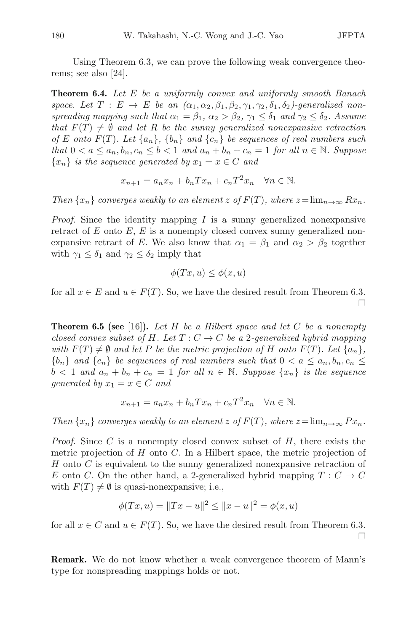Using Theorem 6.3, we can prove the following weak convergence theorems; see also [24].

**Theorem 6.4.** Let E be a uniformly convex and uniformly smooth Banach space. Let  $T : E \to E$  be an  $(\alpha_1, \alpha_2, \beta_1, \beta_2, \gamma_1, \gamma_2, \delta_1, \delta_2)$ -generalized nonspreading mapping such that  $\alpha_1 = \beta_1$ ,  $\alpha_2 > \beta_2$ ,  $\gamma_1 \leq \delta_1$  and  $\gamma_2 \leq \delta_2$ . Assume that  $F(T) \neq \emptyset$  and let R be the sunny generalized nonexpansive retraction of E onto  $F(T)$ . Let  $\{a_n\}$ ,  $\{b_n\}$  and  $\{c_n\}$  be sequences of real numbers such that  $0 < a \leq a_n, b_n, c_n \leq b < 1$  and  $a_n + b_n + c_n = 1$  for all  $n \in \mathbb{N}$ . Suppose  ${x_n}$  is the sequence generated by  $x_1 = x \in C$  and

$$
x_{n+1} = a_n x_n + b_n T x_n + c_n T^2 x_n \quad \forall n \in \mathbb{N}.
$$

Then  $\{x_n\}$  converges weakly to an element z of  $F(T)$ , where  $z=\lim_{n\to\infty}Rx_n$ .

*Proof.* Since the identity mapping  $I$  is a sunny generalized nonexpansive retract of  $E$  onto  $E$ ,  $E$  is a nonempty closed convex sunny generalized nonexpansive retract of E. We also know that  $\alpha_1 = \beta_1$  and  $\alpha_2 > \beta_2$  together with  $\gamma_1 \leq \delta_1$  and  $\gamma_2 \leq \delta_2$  imply that

$$
\phi(Tx, u) \le \phi(x, u)
$$

for all  $x \in E$  and  $u \in F(T)$ . So, we have the desired result from Theorem 6.3.  $\Box$ 

**Theorem 6.5 (see** [16]). Let  $H$  be a Hilbert space and let  $C$  be a nonempty closed convex subset of H. Let  $T: C \to C$  be a 2-generalized hybrid mapping with  $F(T) \neq \emptyset$  and let P be the metric projection of H onto  $F(T)$ . Let  $\{a_n\}$ ,  ${b_n}$  and  ${c_n}$  be sequences of real numbers such that  $0 < a \leq a_n, b_n, c_n \leq a_n$  $b < 1$  and  $a_n + b_n + c_n = 1$  for all  $n \in \mathbb{N}$ . Suppose  $\{x_n\}$  is the sequence generated by  $x_1 = x \in C$  and

$$
x_{n+1} = a_n x_n + b_n T x_n + c_n T^2 x_n \quad \forall n \in \mathbb{N}.
$$

Then  $\{x_n\}$  converges weakly to an element z of  $F(T)$ , where  $z=\lim_{n\to\infty}Px_n$ .

*Proof.* Since  $C$  is a nonempty closed convex subset of  $H$ , there exists the metric projection of  $H$  onto  $C$ . In a Hilbert space, the metric projection of  $H$  onto  $C$  is equivalent to the sunny generalized nonexpansive retraction of E onto C. On the other hand, a 2-generalized hybrid mapping  $T: C \to C$ with  $F(T) \neq \emptyset$  is quasi-nonexpansive; i.e.,

$$
\phi(Tx, u) = ||Tx - u||^2 \le ||x - u||^2 = \phi(x, u)
$$

for all  $x \in C$  and  $u \in F(T)$ . So, we have the desired result from Theorem 6.3.  $\Box$ 

**Remark.** We do not know whether a weak convergence theorem of Mann's type for nonspreading mappings holds or not.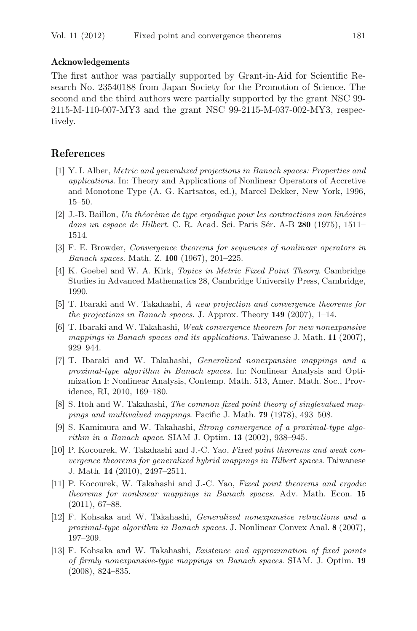#### **Acknowledgements**

The first author was partially supported by Grant-in-Aid for Scientific Research No. 23540188 from Japan Society for the Promotion of Science. The second and the third authors were partially supported by the grant NSC 99- 2115-M-110-007-MY3 and the grant NSC 99-2115-M-037-002-MY3, respectively.

## **References**

- [1] Y. I. Alber, Metric and generalized projections in Banach spaces: Properties and applications. In: Theory and Applications of Nonlinear Operators of Accretive and Monotone Type (A. G. Kartsatos, ed.), Marcel Dekker, New York, 1996, 15–50.
- $[2]$  J.-B. Baillon, Un théorème de type ergodique pour les contractions non linéaires dans un espace de Hilbert. C. R. Acad. Sci. Paris Sér. A-B 280 (1975), 1511– 1514.
- [3] F. E. Browder, Convergence theorems for sequences of nonlinear operators in Banach spaces. Math. Z. **100** (1967), 201–225.
- [4] K. Goebel and W. A. Kirk, Topics in Metric Fixed Point Theory. Cambridge Studies in Advanced Mathematics 28, Cambridge University Press, Cambridge, 1990.
- [5] T. Ibaraki and W. Takahashi, A new projection and convergence theorems for the projections in Banach spaces. J. Approx. Theory **149** (2007), 1–14.
- [6] T. Ibaraki and W. Takahashi, Weak convergence theorem for new nonexpansive mappings in Banach spaces and its applications. Taiwanese J. Math. **11** (2007), 929–944.
- [7] T. Ibaraki and W. Takahashi, Generalized nonexpansive mappings and a proximal-type algorithm in Banach spaces. In: Nonlinear Analysis and Optimization I: Nonlinear Analysis, Contemp. Math. 513, Amer. Math. Soc., Providence, RI, 2010, 169–180.
- [8] S. Itoh and W. Takahashi, The common fixed point theory of singlevalued mappings and multivalued mappings. Pacific J. Math. **79** (1978), 493–508.
- [9] S. Kamimura and W. Takahashi, Strong convergence of a proximal-type algorithm in a Banach apace. SIAM J. Optim. **13** (2002), 938–945.
- [10] P. Kocourek, W. Takahashi and J.-C. Yao, Fixed point theorems and weak convergence theorems for generalized hybrid mappings in Hilbert spaces. Taiwanese J. Math. **14** (2010), 2497–2511.
- [11] P. Kocourek, W. Takahashi and J.-C. Yao, Fixed point theorems and ergodic theorems for nonlinear mappings in Banach spaces. Adv. Math. Econ. **15** (2011), 67–88.
- [12] F. Kohsaka and W. Takahashi, Generalized nonexpansive retractions and a proximal-type algorithm in Banach spaces. J. Nonlinear Convex Anal. **8** (2007), 197–209.
- [13] F. Kohsaka and W. Takahashi, Existence and approximation of fixed points of firmly nonexpansive-type mappings in Banach spaces. SIAM. J. Optim. **19** (2008), 824–835.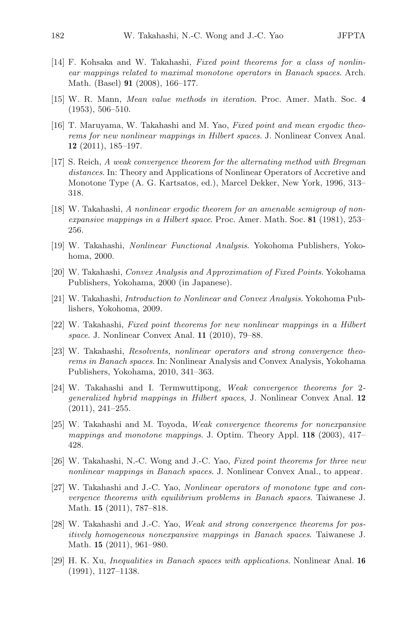- [14] F. Kohsaka and W. Takahashi, Fixed point theorems for a class of nonlinear mappings related to maximal monotone operators in Banach spaces. Arch. Math. (Basel) **91** (2008), 166–177.
- [15] W. R. Mann, Mean value methods in iteration. Proc. Amer. Math. Soc. **4** (1953), 506–510.
- [16] T. Maruyama, W. Takahashi and M. Yao, Fixed point and mean ergodic theorems for new nonlinear mappings in Hilbert spaces. J. Nonlinear Convex Anal. **12** (2011), 185–197.
- [17] S. Reich, A weak convergence theorem for the alternating method with Bregman distances. In: Theory and Applications of Nonlinear Operators of Accretive and Monotone Type (A. G. Kartsatos, ed.), Marcel Dekker, New York, 1996, 313– 318.
- [18] W. Takahashi, A nonlinear ergodic theorem for an amenable semigroup of nonexpansive mappings in a Hilbert space. Proc. Amer. Math. Soc. **81** (1981), 253– 256.
- [19] W. Takahashi, Nonlinear Functional Analysis. Yokohoma Publishers, Yokohoma, 2000.
- [20] W. Takahashi, Convex Analysis and Approximation of Fixed Points. Yokohama Publishers, Yokohama, 2000 (in Japanese).
- [21] W. Takahashi, Introduction to Nonlinear and Convex Analysis. Yokohoma Publishers, Yokohoma, 2009.
- [22] W. Takahashi, Fixed point theorems for new nonlinear mappings in a Hilbert space. J. Nonlinear Convex Anal. **11** (2010), 79–88.
- [23] W. Takahashi, Resolvents, nonlinear operators and strong convergence theorems in Banach spaces. In: Nonlinear Analysis and Convex Analysis, Yokohama Publishers, Yokohama, 2010, 341–363.
- [24] W. Takahashi and I. Termwuttipong, Weak convergence theorems for 2 generalized hybrid mappings in Hilbert spaces, J. Nonlinear Convex Anal. **12** (2011), 241–255.
- [25] W. Takahashi and M. Toyoda, Weak convergence theorems for nonexpansive mappings and monotone mappings. J. Optim. Theory Appl. **118** (2003), 417– 428.
- [26] W. Takahashi, N.-C. Wong and J.-C. Yao, Fixed point theorems for three new nonlinear mappings in Banach spaces. J. Nonlinear Convex Anal., to appear.
- [27] W. Takahashi and J.-C. Yao, Nonlinear operators of monotone type and convergence theorems with equilibrium problems in Banach spaces. Taiwanese J. Math. **15** (2011), 787–818.
- [28] W. Takahashi and J.-C. Yao, Weak and strong convergence theorems for positively homogeneous nonexpansive mappings in Banach spaces. Taiwanese J. Math. **15** (2011), 961–980.
- [29] H. K. Xu, Inequalities in Banach spaces with applications. Nonlinear Anal. **16** (1991), 1127–1138.